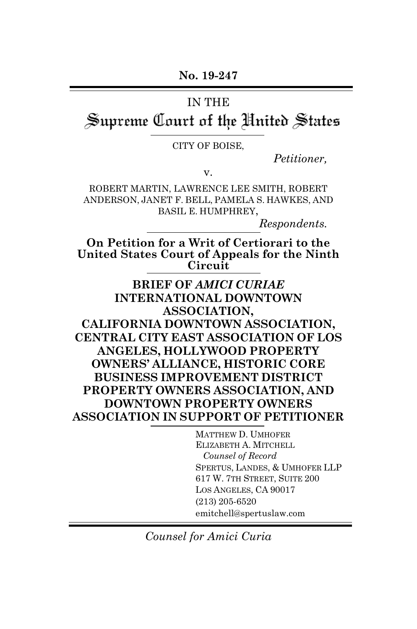**No. 19-247**

#### IN THE

# Supreme Court of the United States

CITY OF BOISE,

*Petitioner,*

v.

ROBERT MARTIN, LAWRENCE LEE SMITH, ROBERT ANDERSON, JANET F. BELL, PAMELA S. HAWKES, AND BASIL E. HUMPHREY,

*Respondents.*

**On Petition for a Writ of Certiorari to the United States Court of Appeals for the Ninth Circuit**

**BRIEF OF** *AMICI CURIAE* **INTERNATIONAL DOWNTOWN ASSOCIATION, CALIFORNIA DOWNTOWN ASSOCIATION, CENTRAL CITY EAST ASSOCIATION OF LOS ANGELES, HOLLYWOOD PROPERTY OWNERS' ALLIANCE, HISTORIC CORE BUSINESS IMPROVEMENT DISTRICT PROPERTY OWNERS ASSOCIATION, AND DOWNTOWN PROPERTY OWNERS ASSOCIATION IN SUPPORT OF PETITIONER**

> MATTHEW D. UMHOFER ELIZABETH A. MITCHELL *Counsel of Record* SPERTUS, LANDES, & UMHOFER LLP 617 W. 7TH STREET, SUITE 200 LOS ANGELES, CA 90017 (213) 205-6520 emitchell@spertuslaw.com

*Counsel for Amici Curia*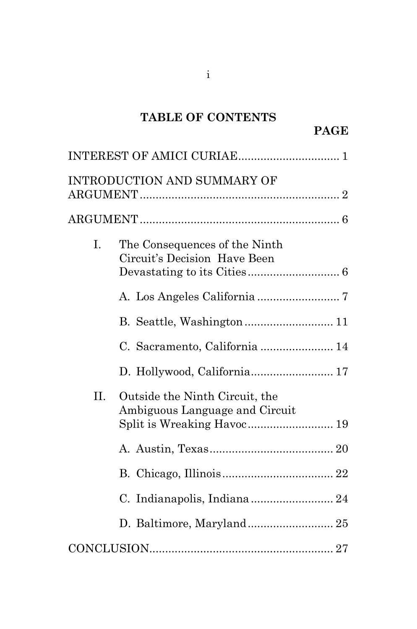# **TABLE OF CONTENTS**

# **PAGE**

|    | <b>INTRODUCTION AND SUMMARY OF</b>                                                             |  |
|----|------------------------------------------------------------------------------------------------|--|
|    |                                                                                                |  |
| I. | The Consequences of the Ninth<br>Circuit's Decision Have Been                                  |  |
|    |                                                                                                |  |
|    | B. Seattle, Washington 11                                                                      |  |
|    | C. Sacramento, California  14                                                                  |  |
|    | D. Hollywood, California 17                                                                    |  |
| Н. | Outside the Ninth Circuit, the<br>Ambiguous Language and Circuit<br>Split is Wreaking Havoc 19 |  |
|    |                                                                                                |  |
|    |                                                                                                |  |
|    |                                                                                                |  |
|    | D. Baltimore, Maryland 25                                                                      |  |
|    |                                                                                                |  |

i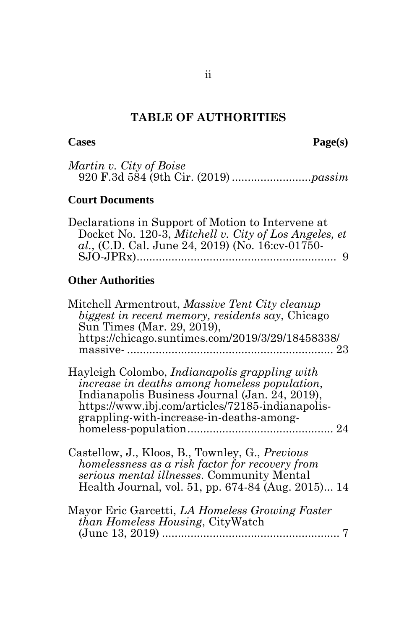# **TABLE OF AUTHORITIES**

**Cases Page(s)**

| Martin v. City of Boise |  |
|-------------------------|--|
|                         |  |

## **Court Documents**

| Declarations in Support of Motion to Intervene at     |  |
|-------------------------------------------------------|--|
| Docket No. 120-3, Mitchell v. City of Los Angeles, et |  |
| al., (C.D. Cal. June 24, 2019) (No. 16:cv-01750-      |  |
|                                                       |  |

# **Other Authorities**

| Mitchell Armentrout, Massive Tent City cleanup<br>biggest in recent memory, residents say, Chicago<br>Sun Times (Mar. 29, 2019),                                                                                                                        |  |
|---------------------------------------------------------------------------------------------------------------------------------------------------------------------------------------------------------------------------------------------------------|--|
| https://chicago.suntimes.com/2019/3/29/18458338/                                                                                                                                                                                                        |  |
| Hayleigh Colombo, <i>Indianapolis grappling with</i><br>increase in deaths among homeless population,<br>Indianapolis Business Journal (Jan. 24, 2019),<br>https://www.ibj.com/articles/72185-indianapolis-<br>grappling-with-increase-in-deaths-among- |  |
| Castellow, J., Kloos, B., Townley, G., Previous<br>homelessness as a risk factor for recovery from<br>serious mental illnesses. Community Mental<br>Health Journal, vol. 51, pp. 674-84 (Aug. 2015) 14                                                  |  |
| Mayor Eric Garcetti, LA Homeless Growing Faster<br><i>than Homeless Housing</i> , CityWatch                                                                                                                                                             |  |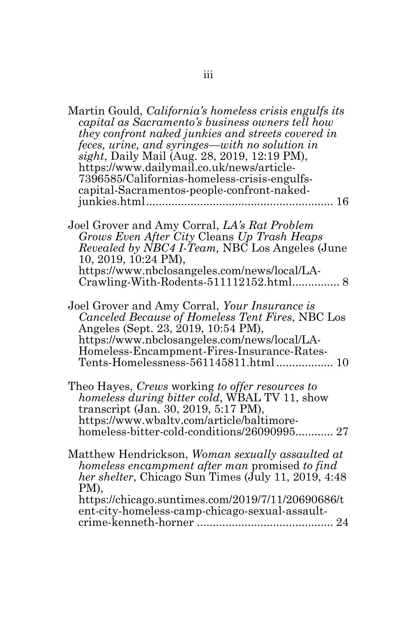| Martin Gould, <i>California's homeless crisis engulfs its</i><br>capital as Sacramento's business owners tell how<br>they confront naked junkies and streets covered in<br><i>feces, urine, and syringes—with no solution in sight, Daily Mail (Aug. 28, 2019, 12:19 PM),</i><br>https://www.dailymail.co.uk/news/article-<br>7396585/Californias-homeless-crisis-engulfs-<br>capital-Sacramentos-people-confront-naked- |
|--------------------------------------------------------------------------------------------------------------------------------------------------------------------------------------------------------------------------------------------------------------------------------------------------------------------------------------------------------------------------------------------------------------------------|
| Joel Grover and Amy Corral, LA's Rat Problem<br>Grows Even After City Cleans Up Trash Heaps<br><i>Revealed by NBC4 I-Team, NBC Los Angeles (June</i><br>10, 2019, 10:24 PM),<br>https://www.nbclosangeles.com/news/local/LA-<br>Crawling-With-Rodents-511112152.html 8                                                                                                                                                   |
| Joel Grover and Amy Corral, Your Insurance is<br>Canceled Because of Homeless Tent Fires, NBC Los<br>Angeles (Sept. 23, 2019, 10:54 PM),<br>https://www.nbclosangeles.com/news/local/LA-<br>Homeless-Encampment-Fires-Insurance-Rates-<br>Tents-Homelessness-561145811.html 10                                                                                                                                           |
| Theo Hayes, Crews working to offer resources to<br>homeless during bitter cold, WBAL TV 11, show<br>transcript (Jan. 30, 2019, 5:17 PM),<br>https://www.wbaltv.com/article/baltimore-<br>homeless-bitter-cold-conditions/26090995 27                                                                                                                                                                                     |
| Matthew Hendrickson, Woman sexually assaulted at<br>homeless encampment after man promised to find<br>her shelter, Chicago Sun Times (July 11, 2019, 4:48)<br>PM),<br>https://chicago.suntimes.com/2019/7/11/20690686/t<br>ent-city-homeless-camp-chicago-sexual-assault-                                                                                                                                                |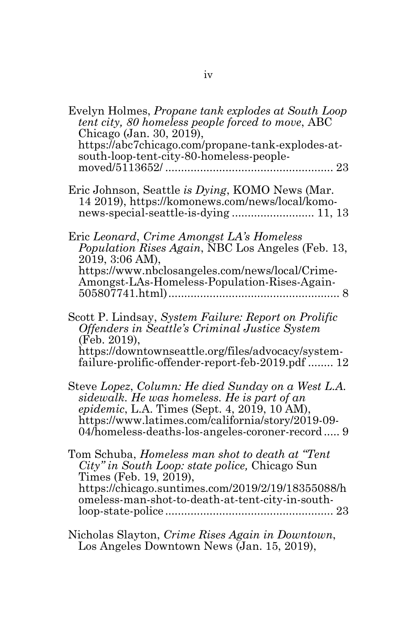| Evelyn Holmes, Propane tank explodes at South Loop<br>tent city, 80 homeless people forced to move, ABC<br>Chicago (Jan. 30, 2019),<br>https://abc7chicago.com/propane-tank-explodes-at-<br>south-loop-tent-city-80-homeless-people-<br>23                |
|-----------------------------------------------------------------------------------------------------------------------------------------------------------------------------------------------------------------------------------------------------------|
| Eric Johnson, Seattle is Dying, KOMO News (Mar.<br>14 2019), https://komonews.com/news/local/komo-                                                                                                                                                        |
| Eric Leonard, Crime Amongst LA's Homeless<br>Population Rises Again, NBC Los Angeles (Feb. 13,<br>2019, 3:06 AM),<br>https://www.nbclosangeles.com/news/local/Crime-<br>Amongst-LAs-Homeless-Population-Rises-Again-                                      |
| Scott P. Lindsay, System Failure: Report on Prolific<br>Offenders in Seattle's Criminal Justice System<br>(Feb. 2019).<br>https://downtownseattle.org/files/advocacy/system-<br>failure-prolific-offender-report-feb-2019.pdf  12                         |
| Steve Lopez, Column: He died Sunday on a West L.A.<br>sidewalk. He was homeless. He is part of an<br>epidemic, L.A. Times (Sept. 4, 2019, 10 AM),<br>https://www.latimes.com/california/story/2019-09-<br>04/homeless-deaths-los-angeles-coroner-record 9 |
| Tom Schuba, <i>Homeless man shot to death at "Tent</i><br>City" in South Loop: state police, Chicago Sun<br>Times (Feb. 19, 2019),<br>https://chicago.suntimes.com/2019/2/19/18355088/h<br>omeless-man-shot-to-death-at-tent-city-in-south-               |
| Nicholas Slayton, Crime Rises Again in Downtown,<br>Los Angeles Downtown News (Jan. 15, 2019),                                                                                                                                                            |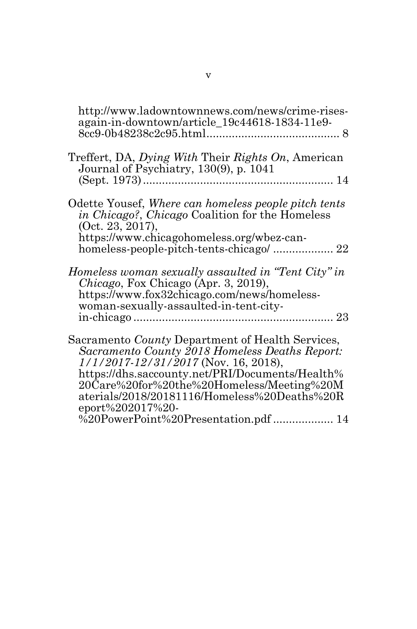<span id="page-5-0"></span>

| http://www.ladowntownnews.com/news/crime-rises-<br>again-in-downtown/article_19c44618-1834-11e9-                                                                                                                                                                                                                          |
|---------------------------------------------------------------------------------------------------------------------------------------------------------------------------------------------------------------------------------------------------------------------------------------------------------------------------|
| Treffert, DA, Dying With Their Rights On, American<br>Journal of Psychiatry, 130(9), p. 1041                                                                                                                                                                                                                              |
| Odette Yousef, Where can homeless people pitch tents<br><i>in Chicago?, Chicago Coalition for the Homeless</i><br>(Oct. 23, 2017),<br>https://www.chicagohomeless.org/wbez-can-                                                                                                                                           |
| Homeless woman sexually assaulted in "Tent City" in<br><i>Chicago</i> , Fox Chicago (Apr. 3, 2019),<br>https://www.fox32chicago.com/news/homeless-<br>woman-sexually-assaulted-in-tent-city-                                                                                                                              |
| Sacramento <i>County</i> Department of Health Services,<br>Sacramento County 2018 Homeless Deaths Report:<br>$1/1/2017 - 12/31/2017$ (Nov. 16, 2018),<br>https://dhs.saccounty.net/PRI/Documents/Health%<br>20Care%20for%20the%20Homeless/Meeting%20M<br>aterials/2018/20181116/Homeless%20Deaths%20R<br>eport%202017%20- |
| %20PowerPoint%20Presentation.pdf  14                                                                                                                                                                                                                                                                                      |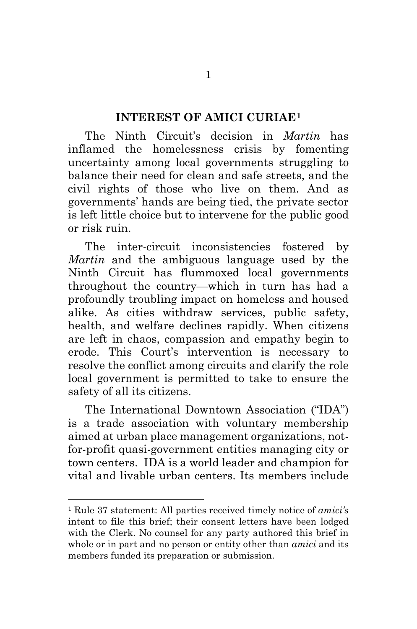#### **INTEREST OF AMICI CURIAE[1](#page-5-0)**

The Ninth Circuit's decision in *Martin* has inflamed the homelessness crisis by fomenting uncertainty among local governments struggling to balance their need for clean and safe streets, and the civil rights of those who live on them. And as governments' hands are being tied, the private sector is left little choice but to intervene for the public good or risk ruin.

The inter-circuit inconsistencies fostered by *Martin* and the ambiguous language used by the Ninth Circuit has flummoxed local governments throughout the country—which in turn has had a profoundly troubling impact on homeless and housed alike. As cities withdraw services, public safety, health, and welfare declines rapidly. When citizens are left in chaos, compassion and empathy begin to erode. This Court's intervention is necessary to resolve the conflict among circuits and clarify the role local government is permitted to take to ensure the safety of all its citizens.

The International Downtown Association ("IDA") is a trade association with voluntary membership aimed at urban place management organizations, notfor-profit quasi-government entities managing city or town centers. IDA is a world leader and champion for vital and livable urban centers. Its members include

<sup>1</sup> Rule 37 statement: All parties received timely notice of *amici's* intent to file this brief; their consent letters have been lodged with the Clerk. No counsel for any party authored this brief in whole or in part and no person or entity other than *amici* and its members funded its preparation or submission.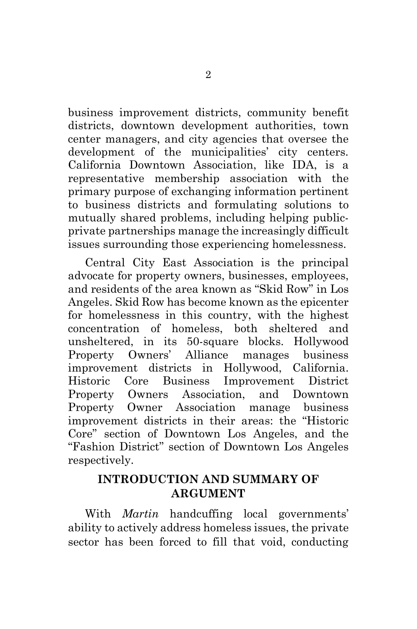business improvement districts, community benefit districts, downtown development authorities, town center managers, and city agencies that oversee the development of the municipalities' city centers. California Downtown Association, like IDA, is a representative membership association with the primary purpose of exchanging information pertinent to business districts and formulating solutions to mutually shared problems, including helping publicprivate partnerships manage the increasingly difficult issues surrounding those experiencing homelessness.

Central City East Association is the principal advocate for property owners, businesses, employees, and residents of the area known as "Skid Row" in Los Angeles. Skid Row has become known as the epicenter for homelessness in this country, with the highest concentration of homeless, both sheltered and unsheltered, in its 50-square blocks. Hollywood Property Owners' Alliance manages business improvement districts in Hollywood, California. Historic Core Business Improvement District Property Owners Association, and Downtown Property Owner Association manage business improvement districts in their areas: the "Historic Core" section of Downtown Los Angeles, and the "Fashion District" section of Downtown Los Angeles respectively.

#### **INTRODUCTION AND SUMMARY OF ARGUMENT**

With *Martin* handcuffing local governments' ability to actively address homeless issues, the private sector has been forced to fill that void, conducting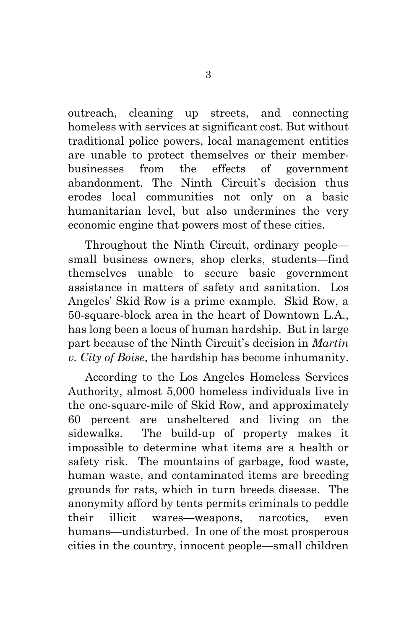outreach, cleaning up streets, and connecting homeless with services at significant cost. But without traditional police powers, local management entities are unable to protect themselves or their memberbusinesses from the effects of government abandonment. The Ninth Circuit's decision thus erodes local communities not only on a basic humanitarian level, but also undermines the very economic engine that powers most of these cities.

Throughout the Ninth Circuit, ordinary people small business owners, shop clerks, students—find themselves unable to secure basic government assistance in matters of safety and sanitation. Los Angeles' Skid Row is a prime example. Skid Row, a 50-square-block area in the heart of Downtown L.A., has long been a locus of human hardship. But in large part because of the Ninth Circuit's decision in *Martin v. City of Boise*, the hardship has become inhumanity.

According to the Los Angeles Homeless Services Authority, almost 5,000 homeless individuals live in the one-square-mile of Skid Row, and approximately 60 percent are unsheltered and living on the sidewalks. The build-up of property makes it impossible to determine what items are a health or safety risk. The mountains of garbage, food waste, human waste, and contaminated items are breeding grounds for rats, which in turn breeds disease. The anonymity afford by tents permits criminals to peddle their illicit wares—weapons, narcotics, even humans—undisturbed. In one of the most prosperous cities in the country, innocent people—small children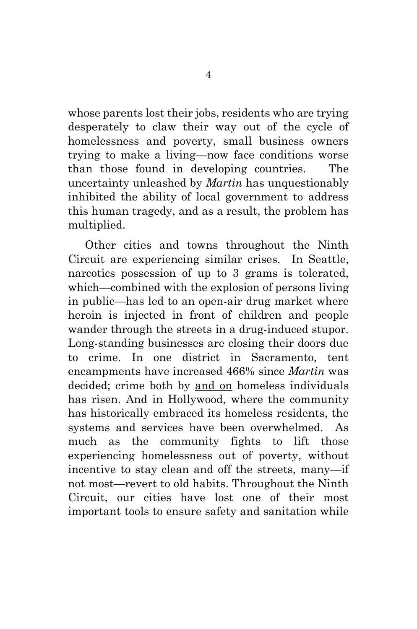whose parents lost their jobs, residents who are trying desperately to claw their way out of the cycle of homelessness and poverty, small business owners trying to make a living—now face conditions worse than those found in developing countries. The uncertainty unleashed by *Martin* has unquestionably inhibited the ability of local government to address this human tragedy, and as a result, the problem has multiplied.

Other cities and towns throughout the Ninth Circuit are experiencing similar crises. In Seattle, narcotics possession of up to 3 grams is tolerated, which—combined with the explosion of persons living in public—has led to an open-air drug market where heroin is injected in front of children and people wander through the streets in a drug-induced stupor. Long-standing businesses are closing their doors due to crime. In one district in Sacramento, tent encampments have increased 466% since *Martin* was decided; crime both by and on homeless individuals has risen. And in Hollywood, where the community has historically embraced its homeless residents, the systems and services have been overwhelmed. As much as the community fights to lift those experiencing homelessness out of poverty, without incentive to stay clean and off the streets, many—if not most—revert to old habits. Throughout the Ninth Circuit, our cities have lost one of their most important tools to ensure safety and sanitation while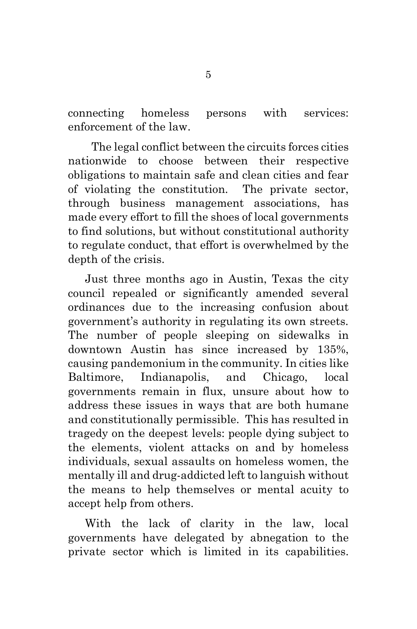connecting homeless persons with services: enforcement of the law.

 The legal conflict between the circuits forces cities nationwide to choose between their respective obligations to maintain safe and clean cities and fear of violating the constitution. The private sector, through business management associations, has made every effort to fill the shoes of local governments to find solutions, but without constitutional authority to regulate conduct, that effort is overwhelmed by the depth of the crisis.

Just three months ago in Austin, Texas the city council repealed or significantly amended several ordinances due to the increasing confusion about government's authority in regulating its own streets. The number of people sleeping on sidewalks in downtown Austin has since increased by 135%, causing pandemonium in the community. In cities like Baltimore, Indianapolis, and Chicago, local governments remain in flux, unsure about how to address these issues in ways that are both humane and constitutionally permissible. This has resulted in tragedy on the deepest levels: people dying subject to the elements, violent attacks on and by homeless individuals, sexual assaults on homeless women, the mentally ill and drug-addicted left to languish without the means to help themselves or mental acuity to accept help from others.

With the lack of clarity in the law, local governments have delegated by abnegation to the private sector which is limited in its capabilities.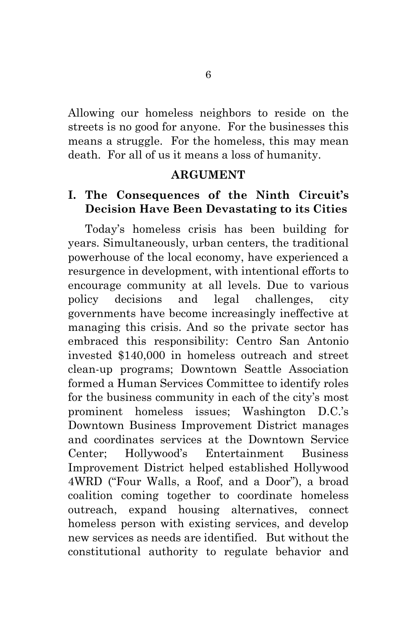Allowing our homeless neighbors to reside on the streets is no good for anyone. For the businesses this means a struggle. For the homeless, this may mean death. For all of us it means a loss of humanity.

#### **ARGUMENT**

#### **I. The Consequences of the Ninth Circuit's Decision Have Been Devastating to its Cities**

<span id="page-11-0"></span>Today's homeless crisis has been building for years. Simultaneously, urban centers, the traditional powerhouse of the local economy, have experienced a resurgence in development, with intentional efforts to encourage community at all levels. Due to various policy decisions and legal challenges, city governments have become increasingly ineffective at managing this crisis. And so the private sector has embraced this responsibility: Centro San Antonio invested \$140,000 in homeless outreach and street clean-up programs; Downtown Seattle Association formed a Human Services Committee to identify roles for the business community in each of the city's most prominent homeless issues; Washington D.C.'s Downtown Business Improvement District manages and coordinates services at the Downtown Service Center; Hollywood's Entertainment Business Improvement District helped established Hollywood 4WRD ("Four Walls, a Roof, and a Door"), a broad coalition coming together to coordinate homeless outreach, expand housing alternatives, connect homeless person with existing services, and develop new services as needs are identified. But without the constitutional authority to regulate behavior and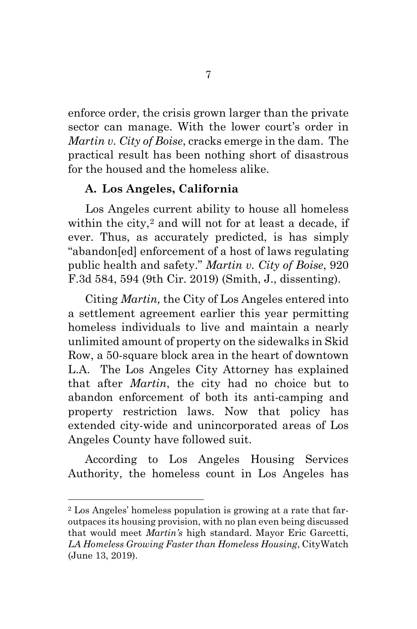enforce order, the crisis grown larger than the private sector can manage. With the lower court's order in *Martin v. City of Boise*, cracks emerge in the dam. The practical result has been nothing short of disastrous for the housed and the homeless alike.

#### **A. Los Angeles, California**

Los Angeles current ability to house all homeless within the city, $2$  and will not for at least a decade, if ever. Thus, as accurately predicted, is has simply "abandon[ed] enforcement of a host of laws regulating public health and safety." *Martin v. City of Boise*, 920 F.3d 584, 594 (9th Cir. 2019) (Smith, J., dissenting).

<span id="page-12-0"></span>Citing *Martin,* the City of Los Angeles entered into a settlement agreement earlier this year permitting homeless individuals to live and maintain a nearly unlimited amount of property on the sidewalks in Skid Row, a 50-square block area in the heart of downtown L.A. The Los Angeles City Attorney has explained that after *Martin*, the city had no choice but to abandon enforcement of both its anti-camping and property restriction laws. Now that policy has extended city-wide and unincorporated areas of Los Angeles County have followed suit.

<span id="page-12-1"></span>According to Los Angeles Housing Services Authority, the homeless count in Los Angeles has

<sup>2</sup> Los Angeles' homeless population is growing at a rate that faroutpaces its housing provision, with no plan even being discussed that would meet *Martin's* high standard. Mayor Eric Garcetti, *LA Homeless Growing Faster than Homeless Housing*, CityWatch (June 13, 2019).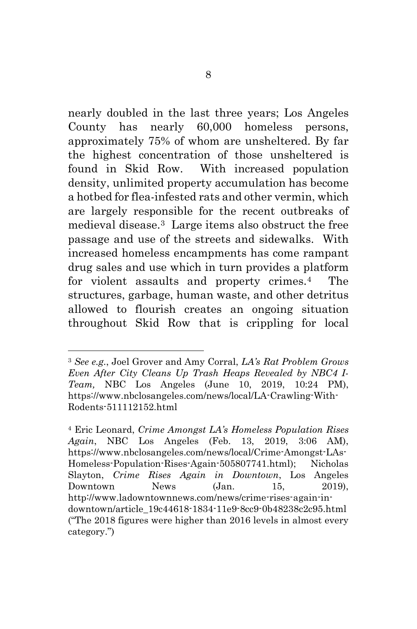nearly doubled in the last three years; Los Angeles County has nearly 60,000 homeless persons, approximately 75% of whom are unsheltered. By far the highest concentration of those unsheltered is found in Skid Row. With increased population density, unlimited property accumulation has become a hotbed for flea-infested rats and other vermin, which are largely responsible for the recent outbreaks of medieval disease.[3](#page-12-0) Large items also obstruct the free passage and use of the streets and sidewalks. With increased homeless encampments has come rampant drug sales and use which in turn provides a platform for violent assaults and property crimes.[4](#page-12-1) The structures, garbage, human waste, and other detritus allowed to flourish creates an ongoing situation throughout Skid Row that is crippling for local

<sup>3</sup> *See e.g.*, Joel Grover and Amy Corral, *LA's Rat Problem Grows Even After City Cleans Up Trash Heaps Revealed by NBC4 I-Team,* NBC Los Angeles (June 10, 2019, 10:24 PM), https://www.nbclosangeles.com/news/local/LA-Crawling-With-Rodents-511112152.html

<span id="page-13-1"></span><span id="page-13-0"></span><sup>4</sup> Eric Leonard, *Crime Amongst LA's Homeless Population Rises Again*, NBC Los Angeles (Feb. 13, 2019, 3:06 AM), https://www.nbclosangeles.com/news/local/Crime-Amongst-LAs-Homeless-Population-Rises-Again-505807741.html); Nicholas Slayton, *Crime Rises Again in Downtown*, Los Angeles Downtown News (Jan. 15, 2019), http://www.ladowntownnews.com/news/crime-rises-again-indowntown/article\_19c44618-1834-11e9-8cc9-0b48238c2c95.html ("The 2018 figures were higher than 2016 levels in almost every category.")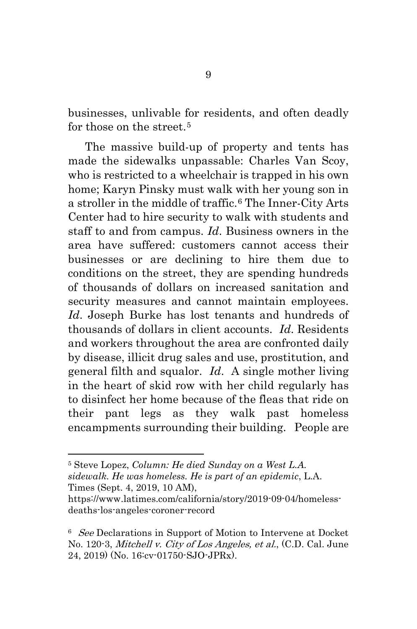businesses, unlivable for residents, and often deadly for those on the street.<sup>[5](#page-13-0)</sup>

The massive build-up of property and tents has made the sidewalks unpassable: Charles Van Scoy, who is restricted to a wheelchair is trapped in his own home; Karyn Pinsky must walk with her young son in a stroller in the middle of traffic.<sup>[6](#page-13-1)</sup> The Inner-City Arts Center had to hire security to walk with students and staff to and from campus. *Id*. Business owners in the area have suffered: customers cannot access their businesses or are declining to hire them due to conditions on the street, they are spending hundreds of thousands of dollars on increased sanitation and security measures and cannot maintain employees. *Id*. Joseph Burke has lost tenants and hundreds of thousands of dollars in client accounts. *Id*. Residents and workers throughout the area are confronted daily by disease, illicit drug sales and use, prostitution, and general filth and squalor. *Id*. A single mother living in the heart of skid row with her child regularly has to disinfect her home because of the fleas that ride on their pant legs as they walk past homeless encampments surrounding their building. People are

<sup>5</sup> Steve Lopez, *Column: He died Sunday on a West L.A. sidewalk. He was homeless. He is part of an epidemic*, L.A. Times (Sept. 4, 2019, 10 AM),

<span id="page-14-0"></span>https://www.latimes.com/california/story/2019-09-04/homelessdeaths-los-angeles-coroner-record

<sup>&</sup>lt;sup>6</sup> See Declarations in Support of Motion to Intervene at Docket No. 120-3, *Mitchell v. City of Los Angeles, et al.*, (C.D. Cal. June 24, 2019) (No. 16:cv-01750-SJO-JPRx).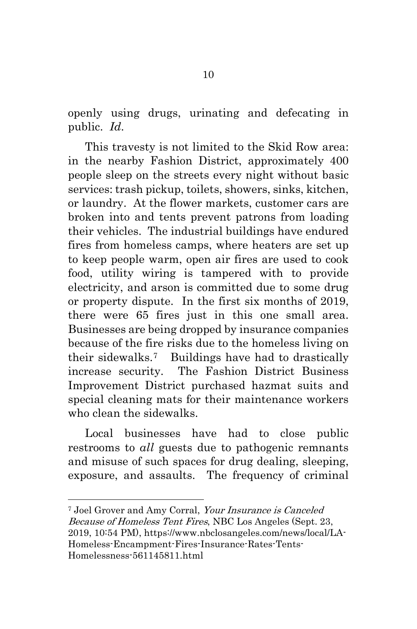openly using drugs, urinating and defecating in public. *Id*.

This travesty is not limited to the Skid Row area: in the nearby Fashion District, approximately 400 people sleep on the streets every night without basic services: trash pickup, toilets, showers, sinks, kitchen, or laundry. At the flower markets, customer cars are broken into and tents prevent patrons from loading their vehicles. The industrial buildings have endured fires from homeless camps, where heaters are set up to keep people warm, open air fires are used to cook food, utility wiring is tampered with to provide electricity, and arson is committed due to some drug or property dispute. In the first six months of 2019, there were 65 fires just in this one small area. Businesses are being dropped by insurance companies because of the fire risks due to the homeless living on their sidewalks.[7](#page-14-0) Buildings have had to drastically increase security. The Fashion District Business Improvement District purchased hazmat suits and special cleaning mats for their maintenance workers who clean the sidewalks.

Local businesses have had to close public restrooms to *all* guests due to pathogenic remnants and misuse of such spaces for drug dealing, sleeping, exposure, and assaults. The frequency of criminal

<span id="page-15-0"></span><sup>7</sup> Joel Grover and Amy Corral, Your Insurance is Canceled Because of Homeless Tent Fires, NBC Los Angeles (Sept. 23, 2019, 10:54 PM), https://www.nbclosangeles.com/news/local/LA-Homeless-Encampment-Fires-Insurance-Rates-Tents-Homelessness-561145811.html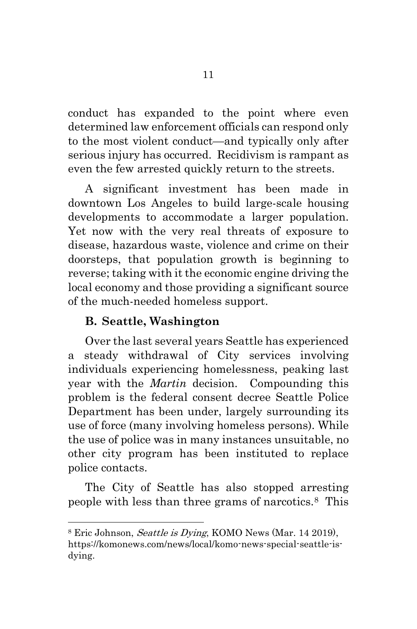conduct has expanded to the point where even determined law enforcement officials can respond only to the most violent conduct—and typically only after serious injury has occurred. Recidivism is rampant as even the few arrested quickly return to the streets.

A significant investment has been made in downtown Los Angeles to build large-scale housing developments to accommodate a larger population. Yet now with the very real threats of exposure to disease, hazardous waste, violence and crime on their doorsteps, that population growth is beginning to reverse; taking with it the economic engine driving the local economy and those providing a significant source of the much-needed homeless support.

#### **B. Seattle, Washington**

Over the last several years Seattle has experienced a steady withdrawal of City services involving individuals experiencing homelessness, peaking last year with the *Martin* decision. Compounding this problem is the federal consent decree Seattle Police Department has been under, largely surrounding its use of force (many involving homeless persons). While the use of police was in many instances unsuitable, no other city program has been instituted to replace police contacts.

The City of Seattle has also stopped arresting people with less than three grams of narcotics.[8](#page-15-0) This

<span id="page-16-0"></span><sup>&</sup>lt;sup>8</sup> Eric Johnson, *Seattle is Dying*, KOMO News (Mar. 14 2019), https://komonews.com/news/local/komo-news-special-seattle-isdying.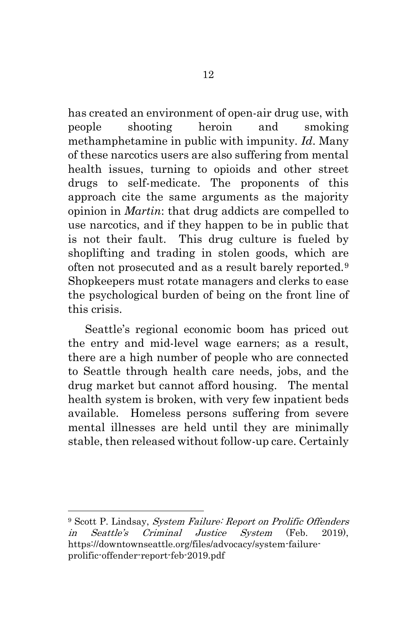has created an environment of open-air drug use, with people shooting heroin and smoking methamphetamine in public with impunity. *Id*. Many of these narcotics users are also suffering from mental health issues, turning to opioids and other street drugs to self-medicate. The proponents of this approach cite the same arguments as the majority opinion in *Martin*: that drug addicts are compelled to use narcotics, and if they happen to be in public that is not their fault. This drug culture is fueled by shoplifting and trading in stolen goods, which are often not prosecuted and as a result barely reported.[9](#page-16-0) Shopkeepers must rotate managers and clerks to ease the psychological burden of being on the front line of this crisis.

Seattle's regional economic boom has priced out the entry and mid-level wage earners; as a result, there are a high number of people who are connected to Seattle through health care needs, jobs, and the drug market but cannot afford housing. The mental health system is broken, with very few inpatient beds available. Homeless persons suffering from severe mental illnesses are held until they are minimally stable, then released without follow-up care. Certainly

<span id="page-17-0"></span><sup>9</sup> Scott P. Lindsay, *System Failure: Report on Prolific Offenders* in Seattle's Criminal Justice System (Feb. 2019), https://downtownseattle.org/files/advocacy/system-failureprolific-offender-report-feb-2019.pdf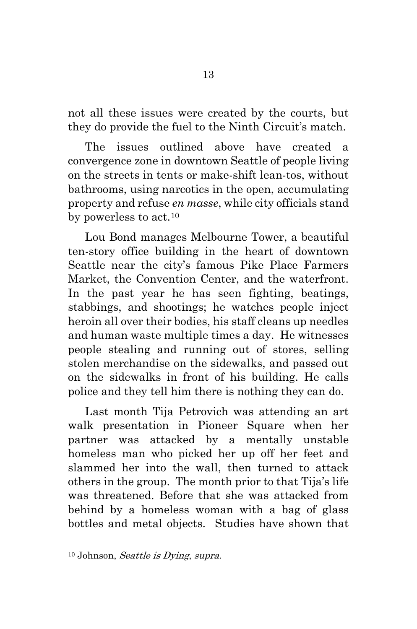not all these issues were created by the courts, but they do provide the fuel to the Ninth Circuit's match.

The issues outlined above have created a convergence zone in downtown Seattle of people living on the streets in tents or make-shift lean-tos, without bathrooms, using narcotics in the open, accumulating property and refuse *en masse*, while city officials stand by powerless to act.<sup>[10](#page-17-0)</sup>

Lou Bond manages Melbourne Tower, a beautiful ten-story office building in the heart of downtown Seattle near the city's famous Pike Place Farmers Market, the Convention Center, and the waterfront. In the past year he has seen fighting, beatings, stabbings, and shootings; he watches people inject heroin all over their bodies, his staff cleans up needles and human waste multiple times a day. He witnesses people stealing and running out of stores, selling stolen merchandise on the sidewalks, and passed out on the sidewalks in front of his building. He calls police and they tell him there is nothing they can do.

<span id="page-18-1"></span><span id="page-18-0"></span>Last month Tija Petrovich was attending an art walk presentation in Pioneer Square when her partner was attacked by a mentally unstable homeless man who picked her up off her feet and slammed her into the wall, then turned to attack others in the group. The month prior to that Tija's life was threatened. Before that she was attacked from behind by a homeless woman with a bag of glass bottles and metal objects. Studies have shown that

<span id="page-18-2"></span><sup>10</sup> Johnson, Seattle is Dying, supra.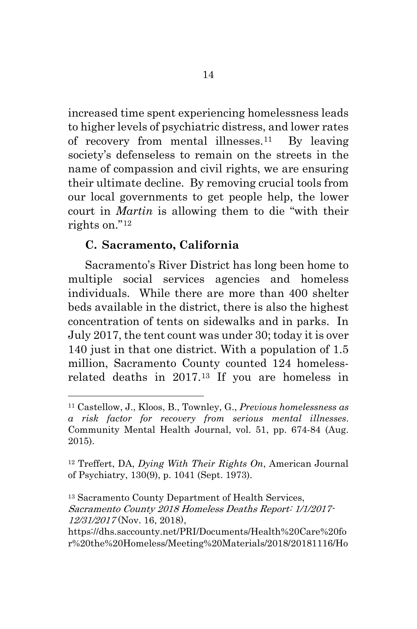increased time spent experiencing homelessness leads to higher levels of psychiatric distress, and lower rates of recovery from mental illnesses.[11](#page-18-0) By leaving society's defenseless to remain on the streets in the name of compassion and civil rights, we are ensuring their ultimate decline. By removing crucial tools from our local governments to get people help, the lower court in *Martin* is allowing them to die "with their rights on."[12](#page-18-1)

#### **C. Sacramento, California**

Sacramento's River District has long been home to multiple social services agencies and homeless individuals. While there are more than 400 shelter beds available in the district, there is also the highest concentration of tents on sidewalks and in parks. In July 2017, the tent count was under 30; today it is over 140 just in that one district. With a population of 1.5 million, Sacramento County counted 124 homelessrelated deaths in 2017.[13](#page-18-2) If you are homeless in

<sup>11</sup> Castellow, J., Kloos, B., Townley, G., *Previous homelessness as a risk factor for recovery from serious mental illnesses*. Community Mental Health Journal, vol. 51, pp. 674-84 (Aug. 2015).

<sup>12</sup> Treffert, DA, *Dying With Their Rights On*, American Journal of Psychiatry, 130(9), p. 1041 (Sept. 1973).

<sup>13</sup> Sacramento County Department of Health Services, Sacramento County 2018 Homeless Deaths Report: 1/1/2017- 12/31/2017 (Nov. 16, 2018),

https://dhs.saccounty.net/PRI/Documents/Health%20Care%20fo r%20the%20Homeless/Meeting%20Materials/2018/20181116/Ho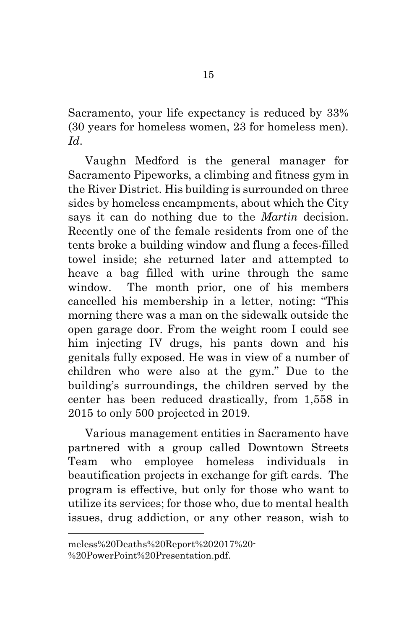Sacramento, your life expectancy is reduced by 33% (30 years for homeless women, 23 for homeless men). *Id*.

Vaughn Medford is the general manager for Sacramento Pipeworks, a climbing and fitness gym in the River District. His building is surrounded on three sides by homeless encampments, about which the City says it can do nothing due to the *Martin* decision. Recently one of the female residents from one of the tents broke a building window and flung a feces-filled towel inside; she returned later and attempted to heave a bag filled with urine through the same window. The month prior, one of his members cancelled his membership in a letter, noting: "This morning there was a man on the sidewalk outside the open garage door. From the weight room I could see him injecting IV drugs, his pants down and his genitals fully exposed. He was in view of a number of children who were also at the gym." Due to the building's surroundings, the children served by the center has been reduced drastically, from 1,558 in 2015 to only 500 projected in 2019.

<span id="page-20-0"></span>Various management entities in Sacramento have partnered with a group called Downtown Streets Team who employee homeless individuals in beautification projects in exchange for gift cards. The program is effective, but only for those who want to utilize its services; for those who, due to mental health issues, drug addiction, or any other reason, wish to

meless%20Deaths%20Report%202017%20- %20PowerPoint%20Presentation.pdf.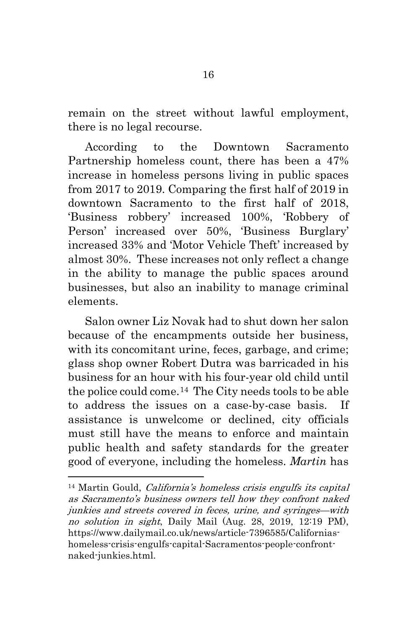remain on the street without lawful employment, there is no legal recourse.

According to the Downtown Sacramento Partnership homeless count, there has been a 47% increase in homeless persons living in public spaces from 2017 to 2019. Comparing the first half of 2019 in downtown Sacramento to the first half of 2018, 'Business robbery' increased 100%, 'Robbery of Person' increased over 50%, 'Business Burglary' increased 33% and 'Motor Vehicle Theft' increased by almost 30%. These increases not only reflect a change in the ability to manage the public spaces around businesses, but also an inability to manage criminal elements.

Salon owner Liz Novak had to shut down her salon because of the encampments outside her business, with its concomitant urine, feces, garbage, and crime; glass shop owner Robert Dutra was barricaded in his business for an hour with his four-year old child until the police could come.[14](#page-20-0) The City needs tools to be able to address the issues on a case-by-case basis. If assistance is unwelcome or declined, city officials must still have the means to enforce and maintain public health and safety standards for the greater good of everyone, including the homeless. *Martin* has

<sup>14</sup> Martin Gould, California's homeless crisis engulfs its capital as Sacramento's business owners tell how they confront naked junkies and streets covered in feces, urine, and syringes—with no solution in sight, Daily Mail (Aug. 28, 2019, 12:19 PM), https://www.dailymail.co.uk/news/article-7396585/Californiashomeless-crisis-engulfs-capital-Sacramentos-people-confrontnaked-junkies.html.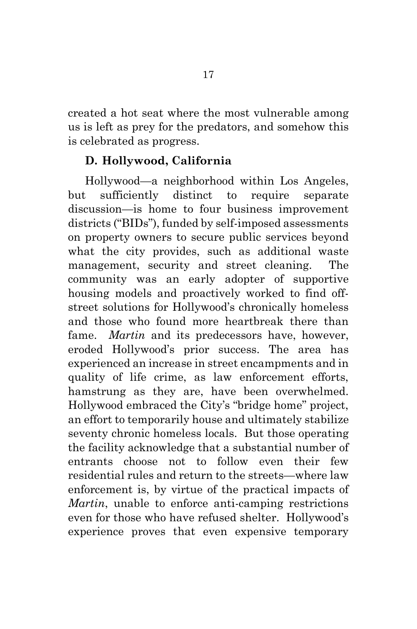created a hot seat where the most vulnerable among us is left as prey for the predators, and somehow this is celebrated as progress.

#### **D. Hollywood, California**

Hollywood—a neighborhood within Los Angeles, but sufficiently distinct to require separate discussion—is home to four business improvement districts ("BIDs"), funded by self-imposed assessments on property owners to secure public services beyond what the city provides, such as additional waste management, security and street cleaning. The community was an early adopter of supportive housing models and proactively worked to find offstreet solutions for Hollywood's chronically homeless and those who found more heartbreak there than fame. *Martin* and its predecessors have, however, eroded Hollywood's prior success. The area has experienced an increase in street encampments and in quality of life crime, as law enforcement efforts, hamstrung as they are, have been overwhelmed. Hollywood embraced the City's "bridge home" project, an effort to temporarily house and ultimately stabilize seventy chronic homeless locals. But those operating the facility acknowledge that a substantial number of entrants choose not to follow even their few residential rules and return to the streets—where law enforcement is, by virtue of the practical impacts of *Martin*, unable to enforce anti-camping restrictions even for those who have refused shelter. Hollywood's experience proves that even expensive temporary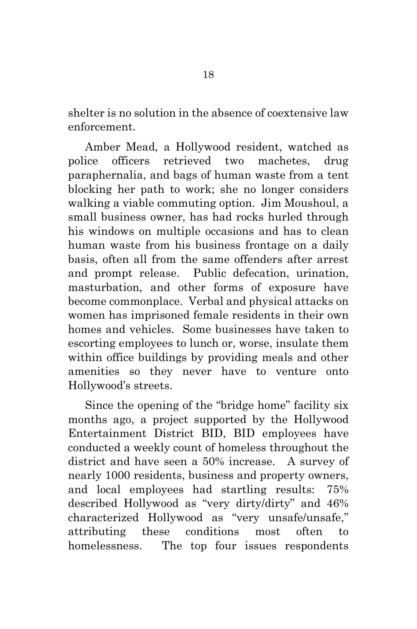shelter is no solution in the absence of coextensive law enforcement.

Amber Mead, a Hollywood resident, watched as police officers retrieved two machetes, drug paraphernalia, and bags of human waste from a tent blocking her path to work; she no longer considers walking a viable commuting option. Jim Moushoul, a small business owner, has had rocks hurled through his windows on multiple occasions and has to clean human waste from his business frontage on a daily basis, often all from the same offenders after arrest and prompt release. Public defecation, urination, masturbation, and other forms of exposure have become commonplace. Verbal and physical attacks on women has imprisoned female residents in their own homes and vehicles. Some businesses have taken to escorting employees to lunch or, worse, insulate them within office buildings by providing meals and other amenities so they never have to venture onto Hollywood's streets.

Since the opening of the "bridge home" facility six months ago, a project supported by the Hollywood Entertainment District BID, BID employees have conducted a weekly count of homeless throughout the district and have seen a 50% increase. A survey of nearly 1000 residents, business and property owners, and local employees had startling results: 75% described Hollywood as "very dirty/dirty" and 46% characterized Hollywood as "very unsafe/unsafe," attributing these conditions most often to homelessness. The top four issues respondents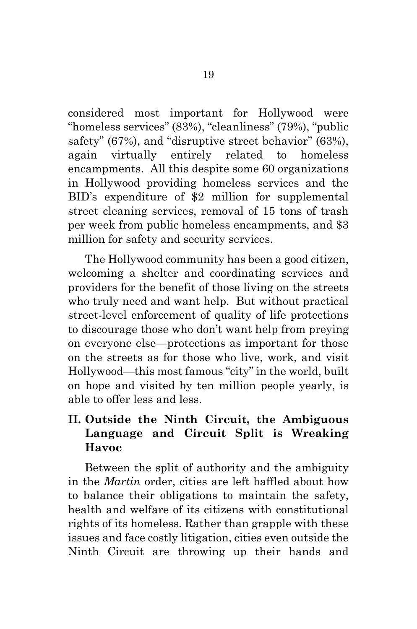considered most important for Hollywood were "homeless services" (83%), "cleanliness" (79%), "public safety" (67%), and "disruptive street behavior" (63%), again virtually entirely related to homeless encampments. All this despite some 60 organizations in Hollywood providing homeless services and the BID's expenditure of \$2 million for supplemental street cleaning services, removal of 15 tons of trash per week from public homeless encampments, and \$3 million for safety and security services.

The Hollywood community has been a good citizen, welcoming a shelter and coordinating services and providers for the benefit of those living on the streets who truly need and want help. But without practical street-level enforcement of quality of life protections to discourage those who don't want help from preying on everyone else—protections as important for those on the streets as for those who live, work, and visit Hollywood—this most famous "city" in the world, built on hope and visited by ten million people yearly, is able to offer less and less.

## **II. Outside the Ninth Circuit, the Ambiguous Language and Circuit Split is Wreaking Havoc**

Between the split of authority and the ambiguity in the *Martin* order, cities are left baffled about how to balance their obligations to maintain the safety, health and welfare of its citizens with constitutional rights of its homeless. Rather than grapple with these issues and face costly litigation, cities even outside the Ninth Circuit are throwing up their hands and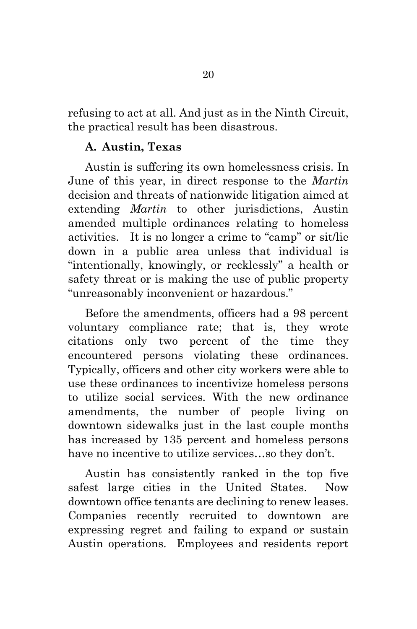refusing to act at all. And just as in the Ninth Circuit, the practical result has been disastrous.

### **A. Austin, Texas**

Austin is suffering its own homelessness crisis. In June of this year, in direct response to the *Martin*  decision and threats of nationwide litigation aimed at extending *Martin* to other jurisdictions, Austin amended multiple ordinances relating to homeless activities. It is no longer a crime to "camp" or sit/lie down in a public area unless that individual is "intentionally, knowingly, or recklessly" a health or safety threat or is making the use of public property "unreasonably inconvenient or hazardous."

Before the amendments, officers had a 98 percent voluntary compliance rate; that is, they wrote citations only two percent of the time they encountered persons violating these ordinances. Typically, officers and other city workers were able to use these ordinances to incentivize homeless persons to utilize social services. With the new ordinance amendments, the number of people living on downtown sidewalks just in the last couple months has increased by 135 percent and homeless persons have no incentive to utilize services…so they don't.

Austin has consistently ranked in the top five safest large cities in the United States. Now downtown office tenants are declining to renew leases. Companies recently recruited to downtown are expressing regret and failing to expand or sustain Austin operations. Employees and residents report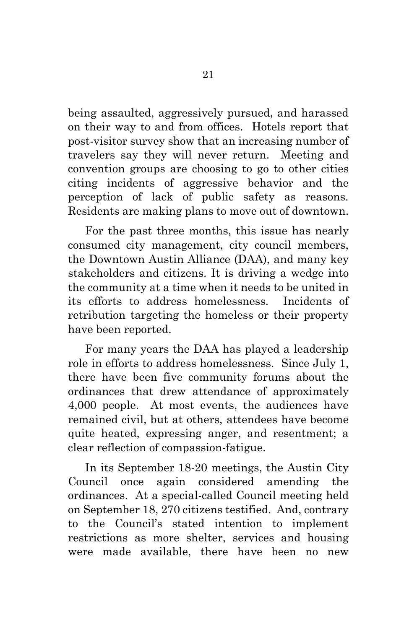being assaulted, aggressively pursued, and harassed on their way to and from offices. Hotels report that post-visitor survey show that an increasing number of travelers say they will never return. Meeting and convention groups are choosing to go to other cities citing incidents of aggressive behavior and the perception of lack of public safety as reasons. Residents are making plans to move out of downtown.

For the past three months, this issue has nearly consumed city management, city council members, the Downtown Austin Alliance (DAA), and many key stakeholders and citizens. It is driving a wedge into the community at a time when it needs to be united in its efforts to address homelessness. Incidents of retribution targeting the homeless or their property have been reported.

For many years the DAA has played a leadership role in efforts to address homelessness. Since July 1, there have been five community forums about the ordinances that drew attendance of approximately 4,000 people. At most events, the audiences have remained civil, but at others, attendees have become quite heated, expressing anger, and resentment; a clear reflection of compassion-fatigue.

<span id="page-26-0"></span>In its September 18-20 meetings, the Austin City Council once again considered amending the ordinances. At a special-called Council meeting held on September 18, 270 citizens testified. And, contrary to the Council's stated intention to implement restrictions as more shelter, services and housing were made available, there have been no new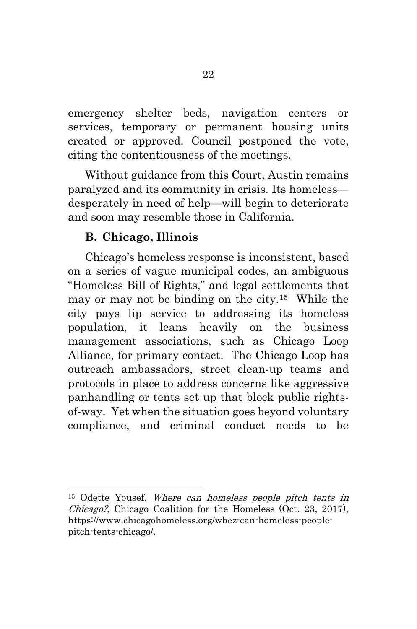emergency shelter beds, navigation centers or services, temporary or permanent housing units created or approved. Council postponed the vote, citing the contentiousness of the meetings.

Without guidance from this Court, Austin remains paralyzed and its community in crisis. Its homeless desperately in need of help—will begin to deteriorate and soon may resemble those in California.

#### **B. Chicago, Illinois**

<span id="page-27-0"></span>Chicago's homeless response is inconsistent, based on a series of vague municipal codes, an ambiguous "Homeless Bill of Rights," and legal settlements that may or may not be binding on the city.[15](#page-26-0) While the city pays lip service to addressing its homeless population, it leans heavily on the business management associations, such as Chicago Loop Alliance, for primary contact. The Chicago Loop has outreach ambassadors, street clean-up teams and protocols in place to address concerns like aggressive panhandling or tents set up that block public rightsof-way. Yet when the situation goes beyond voluntary compliance, and criminal conduct needs to be

<span id="page-27-3"></span><span id="page-27-2"></span><span id="page-27-1"></span><sup>15</sup> Odette Yousef, Where can homeless people pitch tents in Chicago?, Chicago Coalition for the Homeless (Oct. 23, 2017), https://www.chicagohomeless.org/wbez-can-homeless-peoplepitch-tents-chicago/.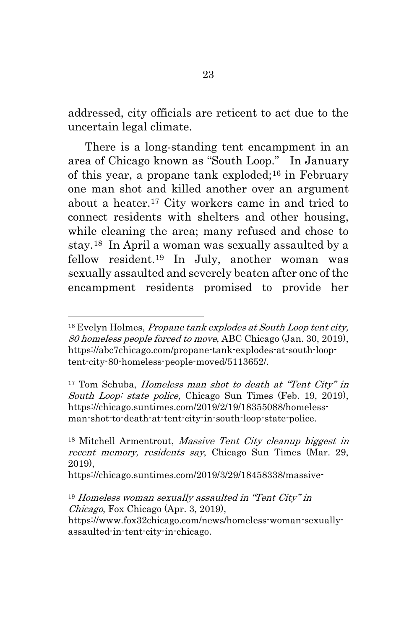addressed, city officials are reticent to act due to the uncertain legal climate.

There is a long-standing tent encampment in an area of Chicago known as "South Loop." In January of this year, a propane tank exploded;<sup>[16](#page-27-0)</sup> in February one man shot and killed another over an argument about a heater.[17](#page-27-1) City workers came in and tried to connect residents with shelters and other housing, while cleaning the area; many refused and chose to stay.[18](#page-27-2) In April a woman was sexually assaulted by a fellow resident.[19](#page-27-3) In July, another woman was sexually assaulted and severely beaten after one of the encampment residents promised to provide her

 $17$  Tom Schuba, Homeless man shot to death at "Tent City" in South Loop: state police, Chicago Sun Times (Feb. 19, 2019), https://chicago.suntimes.com/2019/2/19/18355088/homelessman-shot-to-death-at-tent-city-in-south-loop-state-police.

https://chicago.suntimes.com/2019/3/29/18458338/massive-

<sup>&</sup>lt;sup>16</sup> Evelyn Holmes, *Propane tank explodes at South Loop tent city*, 80 homeless people forced to move, ABC Chicago (Jan. 30, 2019), https://abc7chicago.com/propane-tank-explodes-at-south-looptent-city-80-homeless-people-moved/5113652/.

<span id="page-28-0"></span><sup>18</sup> Mitchell Armentrout, Massive Tent City cleanup biggest in recent memory, residents say, Chicago Sun Times (Mar. 29, 2019),

<span id="page-28-1"></span><sup>19</sup> Homeless woman sexually assaulted in "Tent City" in Chicago, Fox Chicago (Apr. 3, 2019), https://www.fox32chicago.com/news/homeless-woman-sexuallyassaulted-in-tent-city-in-chicago.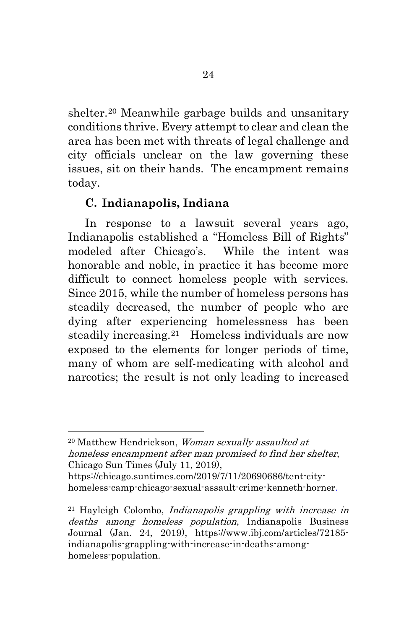shelter.[20](#page-28-0) Meanwhile garbage builds and unsanitary conditions thrive. Every attempt to clear and clean the area has been met with threats of legal challenge and city officials unclear on the law governing these issues, sit on their hands. The encampment remains today.

### **C. Indianapolis, Indiana**

In response to a lawsuit several years ago, Indianapolis established a "Homeless Bill of Rights" modeled after Chicago's. While the intent was honorable and noble, in practice it has become more difficult to connect homeless people with services. Since 2015, while the number of homeless persons has steadily decreased, the number of people who are dying after experiencing homelessness has been steadily increasing.<sup>21</sup> Homeless individuals are now exposed to the elements for longer periods of time, many of whom are self-medicating with alcohol and narcotics; the result is not only leading to increased

<sup>20</sup> Matthew Hendrickson, Woman sexually assaulted at homeless encampment after man promised to find her shelter, Chicago Sun Times (July 11, 2019),

https://chicago.suntimes.com/2019/7/11/20690686/tent-cityhomeless-camp-chicago-sexual-assault-crime-kenneth-horner.

 $21$  Hayleigh Colombo, *Indianapolis grappling with increase in* deaths among homeless population, Indianapolis Business Journal (Jan. 24, 2019), https://www.ibj.com/articles/72185 indianapolis-grappling-with-increase-in-deaths-amonghomeless-population.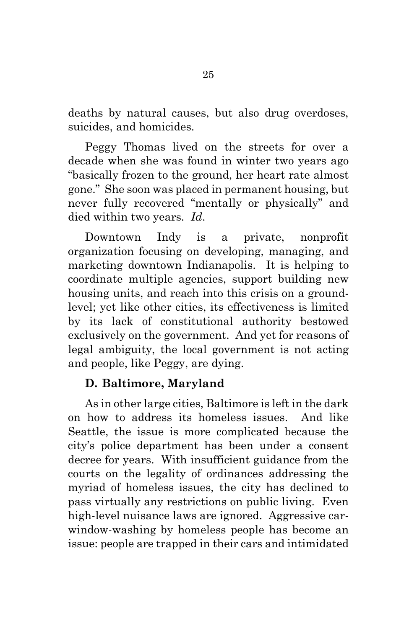deaths by natural causes, but also drug overdoses, suicides, and homicides.

Peggy Thomas lived on the streets for over a decade when she was found in winter two years ago "basically frozen to the ground, her heart rate almost gone." She soon was placed in permanent housing, but never fully recovered "mentally or physically" and died within two years. *Id*.

Downtown Indy is a private, nonprofit organization focusing on developing, managing, and marketing downtown Indianapolis. It is helping to coordinate multiple agencies, support building new housing units, and reach into this crisis on a groundlevel; yet like other cities, its effectiveness is limited by its lack of constitutional authority bestowed exclusively on the government. And yet for reasons of legal ambiguity, the local government is not acting and people, like Peggy, are dying.

#### **D. Baltimore, Maryland**

As in other large cities, Baltimore is left in the dark on how to address its homeless issues. And like Seattle, the issue is more complicated because the city's police department has been under a consent decree for years. With insufficient guidance from the courts on the legality of ordinances addressing the myriad of homeless issues, the city has declined to pass virtually any restrictions on public living. Even high-level nuisance laws are ignored. Aggressive carwindow-washing by homeless people has become an issue: people are trapped in their cars and intimidated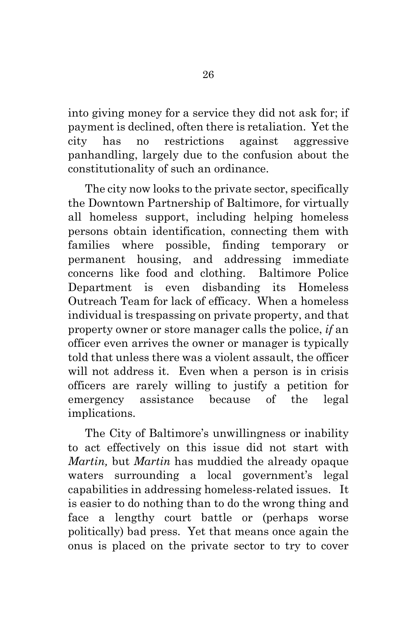into giving money for a service they did not ask for; if payment is declined, often there is retaliation. Yet the city has no restrictions against aggressive panhandling, largely due to the confusion about the constitutionality of such an ordinance.

The city now looks to the private sector, specifically the Downtown Partnership of Baltimore, for virtually all homeless support, including helping homeless persons obtain identification, connecting them with families where possible, finding temporary or permanent housing, and addressing immediate concerns like food and clothing. Baltimore Police Department is even disbanding its Homeless Outreach Team for lack of efficacy. When a homeless individual is trespassing on private property, and that property owner or store manager calls the police, *if* an officer even arrives the owner or manager is typically told that unless there was a violent assault, the officer will not address it. Even when a person is in crisis officers are rarely willing to justify a petition for emergency assistance because of the legal implications.

<span id="page-31-0"></span>The City of Baltimore's unwillingness or inability to act effectively on this issue did not start with *Martin,* but *Martin* has muddied the already opaque waters surrounding a local government's legal capabilities in addressing homeless-related issues. It is easier to do nothing than to do the wrong thing and face a lengthy court battle or (perhaps worse politically) bad press. Yet that means once again the onus is placed on the private sector to try to cover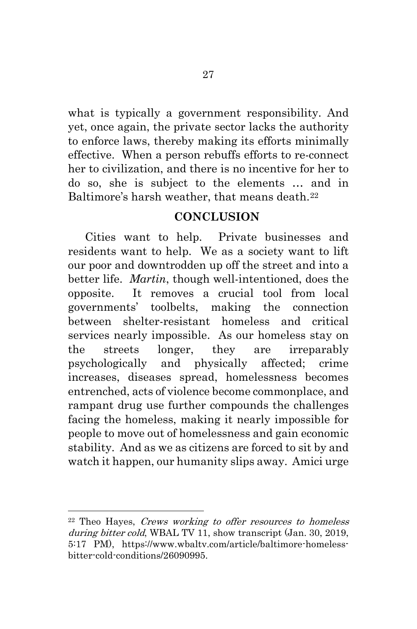what is typically a government responsibility. And yet, once again, the private sector lacks the authority to enforce laws, thereby making its efforts minimally effective. When a person rebuffs efforts to re-connect her to civilization, and there is no incentive for her to do so, she is subject to the elements … and in Baltimore's harsh weather, that means death.<sup>[22](#page-31-0)</sup>

#### **CONCLUSION**

Cities want to help. Private businesses and residents want to help. We as a society want to lift our poor and downtrodden up off the street and into a better life. *Martin*, though well-intentioned, does the opposite. It removes a crucial tool from local governments' toolbelts, making the connection between shelter-resistant homeless and critical services nearly impossible. As our homeless stay on the streets longer, they are irreparably psychologically and physically affected; crime increases, diseases spread, homelessness becomes entrenched, acts of violence become commonplace, and rampant drug use further compounds the challenges facing the homeless, making it nearly impossible for people to move out of homelessness and gain economic stability. And as we as citizens are forced to sit by and watch it happen, our humanity slips away. Amici urge

<sup>22</sup> Theo Hayes, Crews working to offer resources to homeless during bitter cold, WBAL TV 11, show transcript (Jan. 30, 2019, 5:17 PM), https://www.wbaltv.com/article/baltimore-homelessbitter-cold-conditions/26090995.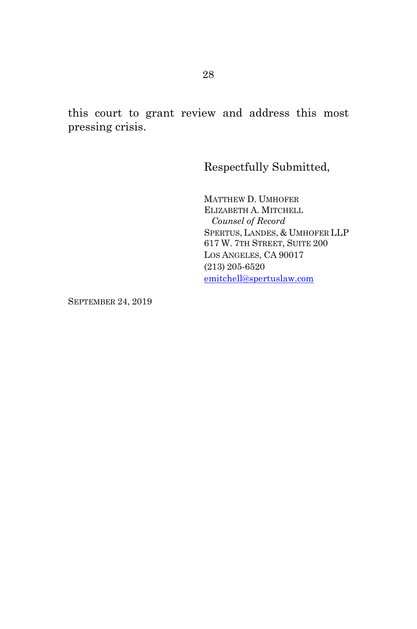this court to grant review and address this most pressing crisis.

Respectfully Submitted,

MATTHEW D. UMHOFER ELIZABETH A. MITCHELL *Counsel of Record*  SPERTUS, LANDES, & UMHOFER LLP 617 W. 7TH STREET, SUITE 200 LOS ANGELES, CA 90017 (213) 205-6520 [emitchell@spertuslaw.com](mailto:emitchell@spertuslaw.com)

SEPTEMBER 24, 2019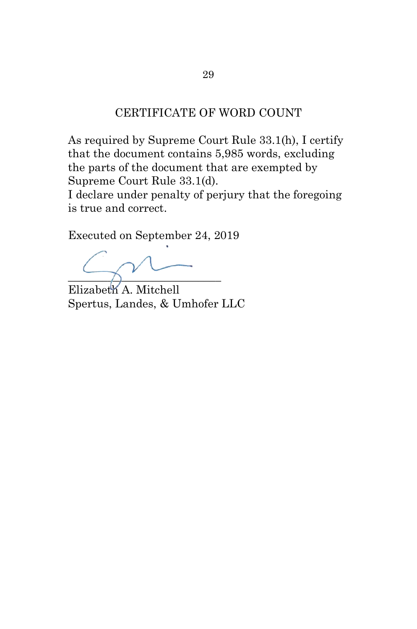#### CERTIFICATE OF WORD COUNT

As required by Supreme Court Rule 33.1(h), I certify that the document contains 5,985 words, excluding the parts of the document that are exempted by Supreme Court Rule 33.1(d).

I declare under penalty of perjury that the foregoing is true and correct.

Executed on September 24, 2019

\_\_\_\_\_\_\_\_\_\_\_\_\_\_\_\_\_\_\_\_\_\_\_\_\_\_\_

Elizabeth A. Mitchell Spertus, Landes, & Umhofer LLC